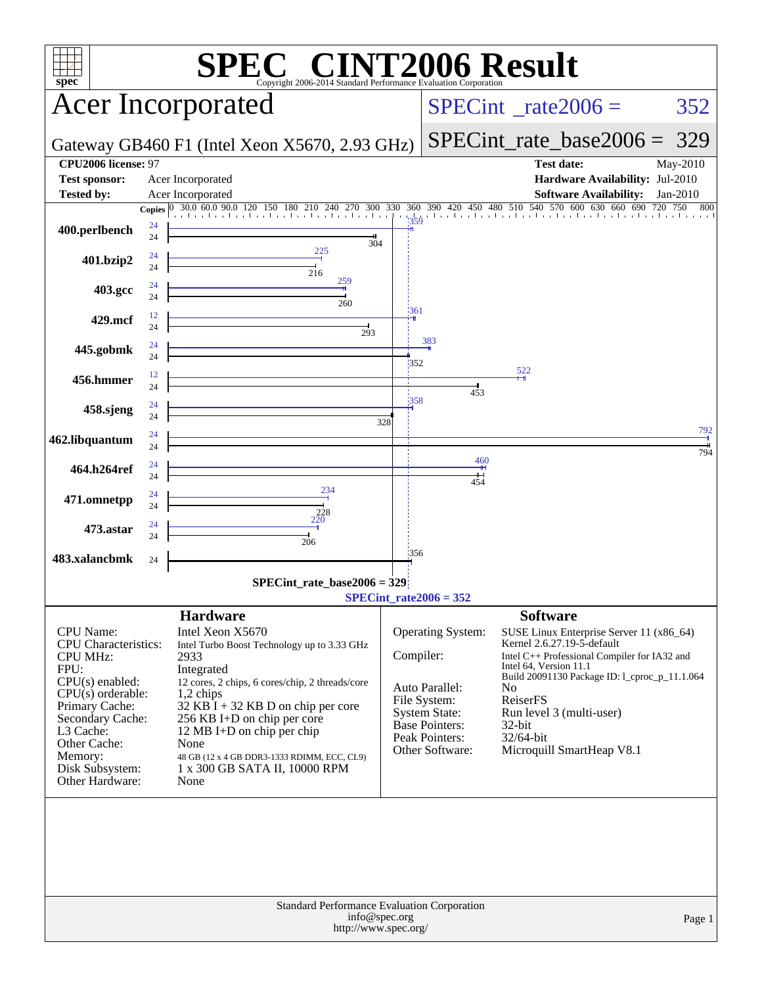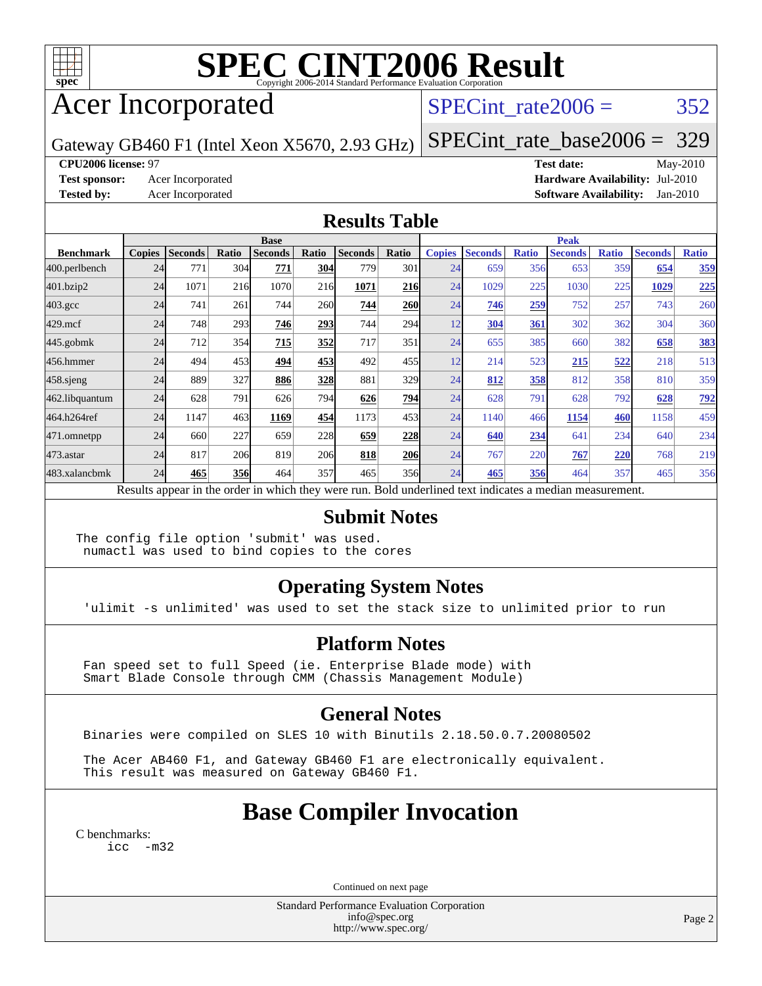

# **[SPEC CINT2006 Result](http://www.spec.org/auto/cpu2006/Docs/result-fields.html#SPECCINT2006Result)**

# Acer Incorporated

#### SPECint rate $2006 = 352$

Gateway GB460 F1 (Intel Xeon X5670, 2.93 GHz)

[SPECint\\_rate\\_base2006 =](http://www.spec.org/auto/cpu2006/Docs/result-fields.html#SPECintratebase2006) 329

**[CPU2006 license:](http://www.spec.org/auto/cpu2006/Docs/result-fields.html#CPU2006license)** 97 **[Test date:](http://www.spec.org/auto/cpu2006/Docs/result-fields.html#Testdate)** May-2010 **[Test sponsor:](http://www.spec.org/auto/cpu2006/Docs/result-fields.html#Testsponsor)** Acer Incorporated **[Hardware Availability:](http://www.spec.org/auto/cpu2006/Docs/result-fields.html#HardwareAvailability)** Jul-2010 **[Tested by:](http://www.spec.org/auto/cpu2006/Docs/result-fields.html#Testedby)** Acer Incorporated **[Software Availability:](http://www.spec.org/auto/cpu2006/Docs/result-fields.html#SoftwareAvailability)** Jan-2010

#### **[Results Table](http://www.spec.org/auto/cpu2006/Docs/result-fields.html#ResultsTable)**

|                                                                                                          | <b>Base</b>   |                |       |                |       |                |       |               | <b>Peak</b>    |              |                |              |                |              |  |
|----------------------------------------------------------------------------------------------------------|---------------|----------------|-------|----------------|-------|----------------|-------|---------------|----------------|--------------|----------------|--------------|----------------|--------------|--|
| <b>Benchmark</b>                                                                                         | <b>Copies</b> | <b>Seconds</b> | Ratio | <b>Seconds</b> | Ratio | <b>Seconds</b> | Ratio | <b>Copies</b> | <b>Seconds</b> | <b>Ratio</b> | <b>Seconds</b> | <b>Ratio</b> | <b>Seconds</b> | <b>Ratio</b> |  |
| 400.perlbench                                                                                            | 24            | 771            | 304   | 771            | 304   | 779            | 301   | 24            | 659            | 356          | 653            | 359          | 654            | <u>359</u>   |  |
| 401.bzip2                                                                                                | 24            | 1071           | 216   | 1070           | 216   | 1071           | 216   | 24            | 1029           | 225          | 1030           | 225          | 1029           | 225          |  |
| $403.\mathrm{gcc}$                                                                                       | 24            | 741            | 261   | 744            | 260   | 744            | 260   | 24            | 746            | 259          | 752            | 257          | 743            | 260          |  |
| $429$ .mcf                                                                                               | 24            | 748            | 293   | 746            | 293   | 744            | 294   | 12            | 304            | 361          | 302            | 362          | 304            | 360          |  |
| $445$ .gobmk                                                                                             | 24            | 712            | 354   | 715            | 352   | 717            | 351   | 24            | 655            | 385          | 660            | 382          | 658            | 383          |  |
| 456.hmmer                                                                                                | 24            | 494            | 453   | 494            | 453   | 492            | 455   | 12            | 214            | 523          | 215            | 522          | 218            | 513          |  |
| $458$ .sjeng                                                                                             | 24            | 889            | 327   | 886            | 328   | 881            | 329   | 24            | 812            | 358          | 812            | 358          | 810            | 359          |  |
| 462.libquantum                                                                                           | 24            | 628            | 791   | 626            | 794   | 626            | 794   | 24            | 628            | 791          | 628            | 792          | 628            | <u>792</u>   |  |
| 464.h264ref                                                                                              | 24            | 1147           | 463   | 1169           | 454   | 1173           | 453   | 24            | 1140           | 466          | 1154           | 460          | 1158           | 459          |  |
| 471.omnetpp                                                                                              | 24            | 660            | 227   | 659            | 228   | 659            | 228   | 24            | 640            | 234          | 641            | 234          | 640            | 234          |  |
| $473$ . astar                                                                                            | 24            | 817            | 206   | 819            | 206   | 818            | 206   | 24            | 767            | 220          | 767            | 220          | 768            | 219          |  |
| 483.xalancbmk                                                                                            | 24            | 465            | 356   | 464            | 357   | 465            | 356   | 24            | 465            | 356          | 464            | 357          | 465            | 356          |  |
| Results appear in the order in which they were run. Bold underlined text indicates a median measurement. |               |                |       |                |       |                |       |               |                |              |                |              |                |              |  |

#### **[Submit Notes](http://www.spec.org/auto/cpu2006/Docs/result-fields.html#SubmitNotes)**

The config file option 'submit' was used. numactl was used to bind copies to the cores

#### **[Operating System Notes](http://www.spec.org/auto/cpu2006/Docs/result-fields.html#OperatingSystemNotes)**

'ulimit -s unlimited' was used to set the stack size to unlimited prior to run

#### **[Platform Notes](http://www.spec.org/auto/cpu2006/Docs/result-fields.html#PlatformNotes)**

 Fan speed set to full Speed (ie. Enterprise Blade mode) with Smart Blade Console through CMM (Chassis Management Module)

#### **[General Notes](http://www.spec.org/auto/cpu2006/Docs/result-fields.html#GeneralNotes)**

Binaries were compiled on SLES 10 with Binutils 2.18.50.0.7.20080502

 The Acer AB460 F1, and Gateway GB460 F1 are electronically equivalent. This result was measured on Gateway GB460 F1.

## **[Base Compiler Invocation](http://www.spec.org/auto/cpu2006/Docs/result-fields.html#BaseCompilerInvocation)**

[C benchmarks](http://www.spec.org/auto/cpu2006/Docs/result-fields.html#Cbenchmarks): [icc -m32](http://www.spec.org/cpu2006/results/res2010q3/cpu2006-20100608-11640.flags.html#user_CCbase_intel_icc_32bit_5ff4a39e364c98233615fdd38438c6f2)

Continued on next page

Standard Performance Evaluation Corporation [info@spec.org](mailto:info@spec.org) <http://www.spec.org/>

Page 2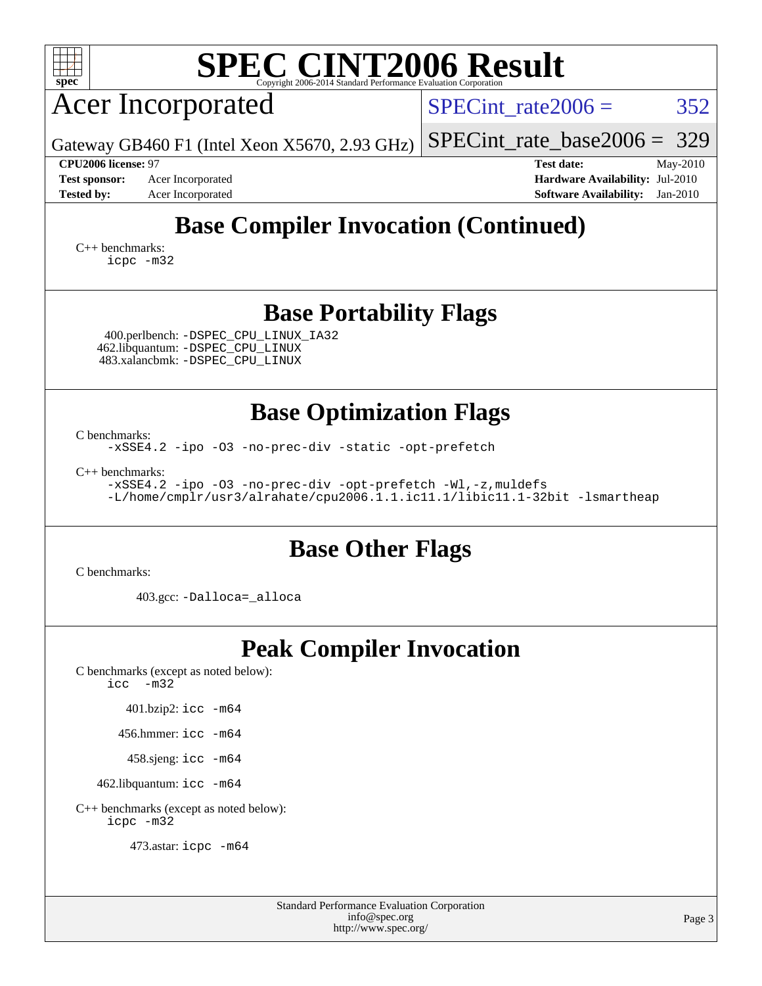| <b>SPEC CINT2006 Result</b><br>spec <sup>®</sup><br>Copyright 2006-2014 Standard Performance Evaluation Corporation                                                                                                                                                                         |                                                                                                                 |  |  |  |  |  |  |  |
|---------------------------------------------------------------------------------------------------------------------------------------------------------------------------------------------------------------------------------------------------------------------------------------------|-----------------------------------------------------------------------------------------------------------------|--|--|--|--|--|--|--|
| <b>Acer Incorporated</b>                                                                                                                                                                                                                                                                    | 352<br>$SPECint \ rate2006 =$                                                                                   |  |  |  |  |  |  |  |
| Gateway GB460 F1 (Intel Xeon X5670, 2.93 GHz)                                                                                                                                                                                                                                               | 329<br>$SPECint_rate_base2006 =$                                                                                |  |  |  |  |  |  |  |
| CPU2006 license: 97<br>Acer Incorporated<br><b>Test sponsor:</b><br><b>Tested by:</b><br>Acer Incorporated                                                                                                                                                                                  | <b>Test date:</b><br>May-2010<br>Hardware Availability: Jul-2010<br><b>Software Availability:</b><br>$Jan-2010$ |  |  |  |  |  |  |  |
| <b>Base Compiler Invocation (Continued)</b><br>$C_{++}$ benchmarks:<br>icpc -m32                                                                                                                                                                                                            |                                                                                                                 |  |  |  |  |  |  |  |
| <b>Base Portability Flags</b><br>400.perlbench: -DSPEC_CPU_LINUX_IA32<br>462.libquantum: - DSPEC_CPU_LINUX<br>483.xalancbmk: -DSPEC_CPU_LINUX                                                                                                                                               |                                                                                                                 |  |  |  |  |  |  |  |
| <b>Base Optimization Flags</b><br>C benchmarks:<br>-xSSE4.2 -ipo -03 -no-prec-div -static -opt-prefetch<br>$C_{++}$ benchmarks:<br>-xSSE4.2 -ipo -03 -no-prec-div -opt-prefetch -Wl,-z, muldefs<br>-L/home/cmplr/usr3/alrahate/cpu2006.1.1.ic11.1/libic11.1-32bit -lsmartheap               |                                                                                                                 |  |  |  |  |  |  |  |
| <b>Base Other Flags</b><br>C benchmarks:                                                                                                                                                                                                                                                    |                                                                                                                 |  |  |  |  |  |  |  |
| 403.gcc: -Dalloca=_alloca                                                                                                                                                                                                                                                                   |                                                                                                                 |  |  |  |  |  |  |  |
| <b>Peak Compiler Invocation</b><br>C benchmarks (except as noted below):<br>$\text{icc}$ $\text{-m32}$<br>$401.bzip2:$ icc $-m64$<br>456.hmmer: icc -m64<br>458.sjeng: icc -m64<br>462.libquantum: icc -m64<br>C++ benchmarks (except as noted below):<br>icpc -m32<br>473.astar: icpc -m64 |                                                                                                                 |  |  |  |  |  |  |  |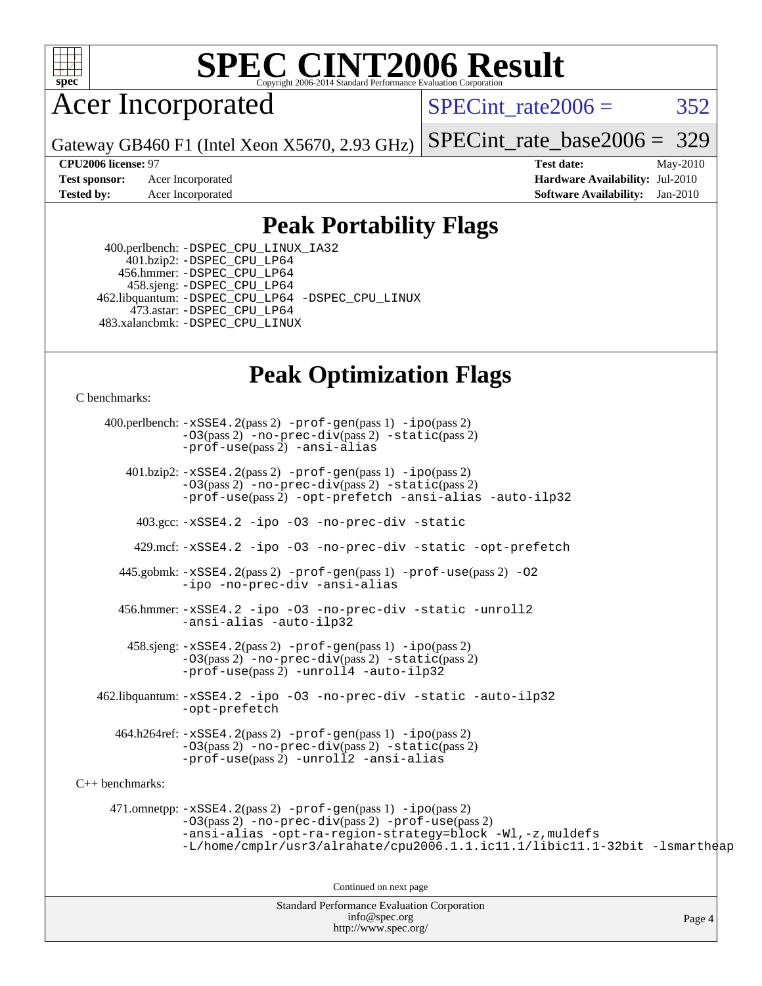

# **[SPEC CINT2006 Result](http://www.spec.org/auto/cpu2006/Docs/result-fields.html#SPECCINT2006Result)**

## Acer Incorporated

SPECint rate $2006 = 352$ 

Gateway GB460 F1 (Intel Xeon X5670, 2.93 GHz)

[SPECint\\_rate\\_base2006 =](http://www.spec.org/auto/cpu2006/Docs/result-fields.html#SPECintratebase2006) 329

**[CPU2006 license:](http://www.spec.org/auto/cpu2006/Docs/result-fields.html#CPU2006license)** 97 **[Test date:](http://www.spec.org/auto/cpu2006/Docs/result-fields.html#Testdate)** May-2010 **[Test sponsor:](http://www.spec.org/auto/cpu2006/Docs/result-fields.html#Testsponsor)** Acer Incorporated **Acer Incorporated <b>[Hardware Availability:](http://www.spec.org/auto/cpu2006/Docs/result-fields.html#HardwareAvailability)** Jul-2010 **[Tested by:](http://www.spec.org/auto/cpu2006/Docs/result-fields.html#Testedby)** Acer Incorporated **[Software Availability:](http://www.spec.org/auto/cpu2006/Docs/result-fields.html#SoftwareAvailability)** Jan-2010

#### **[Peak Portability Flags](http://www.spec.org/auto/cpu2006/Docs/result-fields.html#PeakPortabilityFlags)**

 400.perlbench: [-DSPEC\\_CPU\\_LINUX\\_IA32](http://www.spec.org/cpu2006/results/res2010q3/cpu2006-20100608-11640.flags.html#b400.perlbench_peakCPORTABILITY_DSPEC_CPU_LINUX_IA32) 401.bzip2: [-DSPEC\\_CPU\\_LP64](http://www.spec.org/cpu2006/results/res2010q3/cpu2006-20100608-11640.flags.html#suite_peakCPORTABILITY401_bzip2_DSPEC_CPU_LP64) 456.hmmer: [-DSPEC\\_CPU\\_LP64](http://www.spec.org/cpu2006/results/res2010q3/cpu2006-20100608-11640.flags.html#suite_peakCPORTABILITY456_hmmer_DSPEC_CPU_LP64) 458.sjeng: [-DSPEC\\_CPU\\_LP64](http://www.spec.org/cpu2006/results/res2010q3/cpu2006-20100608-11640.flags.html#suite_peakCPORTABILITY458_sjeng_DSPEC_CPU_LP64) 462.libquantum: [-DSPEC\\_CPU\\_LP64](http://www.spec.org/cpu2006/results/res2010q3/cpu2006-20100608-11640.flags.html#suite_peakCPORTABILITY462_libquantum_DSPEC_CPU_LP64) [-DSPEC\\_CPU\\_LINUX](http://www.spec.org/cpu2006/results/res2010q3/cpu2006-20100608-11640.flags.html#b462.libquantum_peakCPORTABILITY_DSPEC_CPU_LINUX) 473.astar: [-DSPEC\\_CPU\\_LP64](http://www.spec.org/cpu2006/results/res2010q3/cpu2006-20100608-11640.flags.html#suite_peakCXXPORTABILITY473_astar_DSPEC_CPU_LP64) 483.xalancbmk: [-DSPEC\\_CPU\\_LINUX](http://www.spec.org/cpu2006/results/res2010q3/cpu2006-20100608-11640.flags.html#b483.xalancbmk_peakCXXPORTABILITY_DSPEC_CPU_LINUX)

## **[Peak Optimization Flags](http://www.spec.org/auto/cpu2006/Docs/result-fields.html#PeakOptimizationFlags)**

[C benchmarks](http://www.spec.org/auto/cpu2006/Docs/result-fields.html#Cbenchmarks):

Standard Performance Evaluation Corporation [info@spec.org](mailto:info@spec.org) Page 4 400.perlbench: [-xSSE4.2](http://www.spec.org/cpu2006/results/res2010q3/cpu2006-20100608-11640.flags.html#user_peakPASS2_CFLAGSPASS2_LDCFLAGS400_perlbench_f-xSSE42_f91528193cf0b216347adb8b939d4107)(pass 2) [-prof-gen](http://www.spec.org/cpu2006/results/res2010q3/cpu2006-20100608-11640.flags.html#user_peakPASS1_CFLAGSPASS1_LDCFLAGS400_perlbench_prof_gen_e43856698f6ca7b7e442dfd80e94a8fc)(pass 1) [-ipo](http://www.spec.org/cpu2006/results/res2010q3/cpu2006-20100608-11640.flags.html#user_peakPASS2_CFLAGSPASS2_LDCFLAGS400_perlbench_f-ipo)(pass 2) [-O3](http://www.spec.org/cpu2006/results/res2010q3/cpu2006-20100608-11640.flags.html#user_peakPASS2_CFLAGSPASS2_LDCFLAGS400_perlbench_f-O3)(pass 2) [-no-prec-div](http://www.spec.org/cpu2006/results/res2010q3/cpu2006-20100608-11640.flags.html#user_peakPASS2_CFLAGSPASS2_LDCFLAGS400_perlbench_f-no-prec-div)(pass 2) [-static](http://www.spec.org/cpu2006/results/res2010q3/cpu2006-20100608-11640.flags.html#user_peakPASS2_CFLAGSPASS2_LDCFLAGS400_perlbench_f-static)(pass 2) [-prof-use](http://www.spec.org/cpu2006/results/res2010q3/cpu2006-20100608-11640.flags.html#user_peakPASS2_CFLAGSPASS2_LDCFLAGS400_perlbench_prof_use_bccf7792157ff70d64e32fe3e1250b55)(pass 2) [-ansi-alias](http://www.spec.org/cpu2006/results/res2010q3/cpu2006-20100608-11640.flags.html#user_peakCOPTIMIZE400_perlbench_f-ansi-alias) 401.bzip2: [-xSSE4.2](http://www.spec.org/cpu2006/results/res2010q3/cpu2006-20100608-11640.flags.html#user_peakPASS2_CFLAGSPASS2_LDCFLAGS401_bzip2_f-xSSE42_f91528193cf0b216347adb8b939d4107)(pass 2) [-prof-gen](http://www.spec.org/cpu2006/results/res2010q3/cpu2006-20100608-11640.flags.html#user_peakPASS1_CFLAGSPASS1_LDCFLAGS401_bzip2_prof_gen_e43856698f6ca7b7e442dfd80e94a8fc)(pass 1) [-ipo](http://www.spec.org/cpu2006/results/res2010q3/cpu2006-20100608-11640.flags.html#user_peakPASS2_CFLAGSPASS2_LDCFLAGS401_bzip2_f-ipo)(pass 2) [-O3](http://www.spec.org/cpu2006/results/res2010q3/cpu2006-20100608-11640.flags.html#user_peakPASS2_CFLAGSPASS2_LDCFLAGS401_bzip2_f-O3)(pass 2) [-no-prec-div](http://www.spec.org/cpu2006/results/res2010q3/cpu2006-20100608-11640.flags.html#user_peakPASS2_CFLAGSPASS2_LDCFLAGS401_bzip2_f-no-prec-div)(pass 2) [-static](http://www.spec.org/cpu2006/results/res2010q3/cpu2006-20100608-11640.flags.html#user_peakPASS2_CFLAGSPASS2_LDCFLAGS401_bzip2_f-static)(pass 2) [-prof-use](http://www.spec.org/cpu2006/results/res2010q3/cpu2006-20100608-11640.flags.html#user_peakPASS2_CFLAGSPASS2_LDCFLAGS401_bzip2_prof_use_bccf7792157ff70d64e32fe3e1250b55)(pass 2) [-opt-prefetch](http://www.spec.org/cpu2006/results/res2010q3/cpu2006-20100608-11640.flags.html#user_peakCOPTIMIZE401_bzip2_f-opt-prefetch) [-ansi-alias](http://www.spec.org/cpu2006/results/res2010q3/cpu2006-20100608-11640.flags.html#user_peakCOPTIMIZE401_bzip2_f-ansi-alias) [-auto-ilp32](http://www.spec.org/cpu2006/results/res2010q3/cpu2006-20100608-11640.flags.html#user_peakCOPTIMIZE401_bzip2_f-auto-ilp32) 403.gcc: [-xSSE4.2](http://www.spec.org/cpu2006/results/res2010q3/cpu2006-20100608-11640.flags.html#user_peakCOPTIMIZE403_gcc_f-xSSE42_f91528193cf0b216347adb8b939d4107) [-ipo](http://www.spec.org/cpu2006/results/res2010q3/cpu2006-20100608-11640.flags.html#user_peakCOPTIMIZE403_gcc_f-ipo) [-O3](http://www.spec.org/cpu2006/results/res2010q3/cpu2006-20100608-11640.flags.html#user_peakCOPTIMIZE403_gcc_f-O3) [-no-prec-div](http://www.spec.org/cpu2006/results/res2010q3/cpu2006-20100608-11640.flags.html#user_peakCOPTIMIZE403_gcc_f-no-prec-div) [-static](http://www.spec.org/cpu2006/results/res2010q3/cpu2006-20100608-11640.flags.html#user_peakCOPTIMIZE403_gcc_f-static) 429.mcf: [-xSSE4.2](http://www.spec.org/cpu2006/results/res2010q3/cpu2006-20100608-11640.flags.html#user_peakCOPTIMIZE429_mcf_f-xSSE42_f91528193cf0b216347adb8b939d4107) [-ipo](http://www.spec.org/cpu2006/results/res2010q3/cpu2006-20100608-11640.flags.html#user_peakCOPTIMIZE429_mcf_f-ipo) [-O3](http://www.spec.org/cpu2006/results/res2010q3/cpu2006-20100608-11640.flags.html#user_peakCOPTIMIZE429_mcf_f-O3) [-no-prec-div](http://www.spec.org/cpu2006/results/res2010q3/cpu2006-20100608-11640.flags.html#user_peakCOPTIMIZE429_mcf_f-no-prec-div) [-static](http://www.spec.org/cpu2006/results/res2010q3/cpu2006-20100608-11640.flags.html#user_peakCOPTIMIZE429_mcf_f-static) [-opt-prefetch](http://www.spec.org/cpu2006/results/res2010q3/cpu2006-20100608-11640.flags.html#user_peakCOPTIMIZE429_mcf_f-opt-prefetch) 445.gobmk: [-xSSE4.2](http://www.spec.org/cpu2006/results/res2010q3/cpu2006-20100608-11640.flags.html#user_peakPASS2_CFLAGSPASS2_LDCFLAGS445_gobmk_f-xSSE42_f91528193cf0b216347adb8b939d4107)(pass 2) [-prof-gen](http://www.spec.org/cpu2006/results/res2010q3/cpu2006-20100608-11640.flags.html#user_peakPASS1_CFLAGSPASS1_LDCFLAGS445_gobmk_prof_gen_e43856698f6ca7b7e442dfd80e94a8fc)(pass 1) [-prof-use](http://www.spec.org/cpu2006/results/res2010q3/cpu2006-20100608-11640.flags.html#user_peakPASS2_CFLAGSPASS2_LDCFLAGS445_gobmk_prof_use_bccf7792157ff70d64e32fe3e1250b55)(pass 2) [-O2](http://www.spec.org/cpu2006/results/res2010q3/cpu2006-20100608-11640.flags.html#user_peakCOPTIMIZE445_gobmk_f-O2) [-ipo](http://www.spec.org/cpu2006/results/res2010q3/cpu2006-20100608-11640.flags.html#user_peakCOPTIMIZE445_gobmk_f-ipo) [-no-prec-div](http://www.spec.org/cpu2006/results/res2010q3/cpu2006-20100608-11640.flags.html#user_peakCOPTIMIZE445_gobmk_f-no-prec-div) [-ansi-alias](http://www.spec.org/cpu2006/results/res2010q3/cpu2006-20100608-11640.flags.html#user_peakCOPTIMIZE445_gobmk_f-ansi-alias) 456.hmmer: [-xSSE4.2](http://www.spec.org/cpu2006/results/res2010q3/cpu2006-20100608-11640.flags.html#user_peakCOPTIMIZE456_hmmer_f-xSSE42_f91528193cf0b216347adb8b939d4107) [-ipo](http://www.spec.org/cpu2006/results/res2010q3/cpu2006-20100608-11640.flags.html#user_peakCOPTIMIZE456_hmmer_f-ipo) [-O3](http://www.spec.org/cpu2006/results/res2010q3/cpu2006-20100608-11640.flags.html#user_peakCOPTIMIZE456_hmmer_f-O3) [-no-prec-div](http://www.spec.org/cpu2006/results/res2010q3/cpu2006-20100608-11640.flags.html#user_peakCOPTIMIZE456_hmmer_f-no-prec-div) [-static](http://www.spec.org/cpu2006/results/res2010q3/cpu2006-20100608-11640.flags.html#user_peakCOPTIMIZE456_hmmer_f-static) [-unroll2](http://www.spec.org/cpu2006/results/res2010q3/cpu2006-20100608-11640.flags.html#user_peakCOPTIMIZE456_hmmer_f-unroll_784dae83bebfb236979b41d2422d7ec2) [-ansi-alias](http://www.spec.org/cpu2006/results/res2010q3/cpu2006-20100608-11640.flags.html#user_peakCOPTIMIZE456_hmmer_f-ansi-alias) [-auto-ilp32](http://www.spec.org/cpu2006/results/res2010q3/cpu2006-20100608-11640.flags.html#user_peakCOPTIMIZE456_hmmer_f-auto-ilp32) 458.sjeng: [-xSSE4.2](http://www.spec.org/cpu2006/results/res2010q3/cpu2006-20100608-11640.flags.html#user_peakPASS2_CFLAGSPASS2_LDCFLAGS458_sjeng_f-xSSE42_f91528193cf0b216347adb8b939d4107)(pass 2) [-prof-gen](http://www.spec.org/cpu2006/results/res2010q3/cpu2006-20100608-11640.flags.html#user_peakPASS1_CFLAGSPASS1_LDCFLAGS458_sjeng_prof_gen_e43856698f6ca7b7e442dfd80e94a8fc)(pass 1) [-ipo](http://www.spec.org/cpu2006/results/res2010q3/cpu2006-20100608-11640.flags.html#user_peakPASS2_CFLAGSPASS2_LDCFLAGS458_sjeng_f-ipo)(pass 2) [-O3](http://www.spec.org/cpu2006/results/res2010q3/cpu2006-20100608-11640.flags.html#user_peakPASS2_CFLAGSPASS2_LDCFLAGS458_sjeng_f-O3)(pass 2) [-no-prec-div](http://www.spec.org/cpu2006/results/res2010q3/cpu2006-20100608-11640.flags.html#user_peakPASS2_CFLAGSPASS2_LDCFLAGS458_sjeng_f-no-prec-div)(pass 2) [-static](http://www.spec.org/cpu2006/results/res2010q3/cpu2006-20100608-11640.flags.html#user_peakPASS2_CFLAGSPASS2_LDCFLAGS458_sjeng_f-static)(pass 2) [-prof-use](http://www.spec.org/cpu2006/results/res2010q3/cpu2006-20100608-11640.flags.html#user_peakPASS2_CFLAGSPASS2_LDCFLAGS458_sjeng_prof_use_bccf7792157ff70d64e32fe3e1250b55)(pass 2) [-unroll4](http://www.spec.org/cpu2006/results/res2010q3/cpu2006-20100608-11640.flags.html#user_peakCOPTIMIZE458_sjeng_f-unroll_4e5e4ed65b7fd20bdcd365bec371b81f) [-auto-ilp32](http://www.spec.org/cpu2006/results/res2010q3/cpu2006-20100608-11640.flags.html#user_peakCOPTIMIZE458_sjeng_f-auto-ilp32) 462.libquantum: [-xSSE4.2](http://www.spec.org/cpu2006/results/res2010q3/cpu2006-20100608-11640.flags.html#user_peakCOPTIMIZE462_libquantum_f-xSSE42_f91528193cf0b216347adb8b939d4107) [-ipo](http://www.spec.org/cpu2006/results/res2010q3/cpu2006-20100608-11640.flags.html#user_peakCOPTIMIZE462_libquantum_f-ipo) [-O3](http://www.spec.org/cpu2006/results/res2010q3/cpu2006-20100608-11640.flags.html#user_peakCOPTIMIZE462_libquantum_f-O3) [-no-prec-div](http://www.spec.org/cpu2006/results/res2010q3/cpu2006-20100608-11640.flags.html#user_peakCOPTIMIZE462_libquantum_f-no-prec-div) [-static](http://www.spec.org/cpu2006/results/res2010q3/cpu2006-20100608-11640.flags.html#user_peakCOPTIMIZE462_libquantum_f-static) [-auto-ilp32](http://www.spec.org/cpu2006/results/res2010q3/cpu2006-20100608-11640.flags.html#user_peakCOPTIMIZE462_libquantum_f-auto-ilp32) [-opt-prefetch](http://www.spec.org/cpu2006/results/res2010q3/cpu2006-20100608-11640.flags.html#user_peakCOPTIMIZE462_libquantum_f-opt-prefetch) 464.h264ref: [-xSSE4.2](http://www.spec.org/cpu2006/results/res2010q3/cpu2006-20100608-11640.flags.html#user_peakPASS2_CFLAGSPASS2_LDCFLAGS464_h264ref_f-xSSE42_f91528193cf0b216347adb8b939d4107)(pass 2) [-prof-gen](http://www.spec.org/cpu2006/results/res2010q3/cpu2006-20100608-11640.flags.html#user_peakPASS1_CFLAGSPASS1_LDCFLAGS464_h264ref_prof_gen_e43856698f6ca7b7e442dfd80e94a8fc)(pass 1) [-ipo](http://www.spec.org/cpu2006/results/res2010q3/cpu2006-20100608-11640.flags.html#user_peakPASS2_CFLAGSPASS2_LDCFLAGS464_h264ref_f-ipo)(pass 2) [-O3](http://www.spec.org/cpu2006/results/res2010q3/cpu2006-20100608-11640.flags.html#user_peakPASS2_CFLAGSPASS2_LDCFLAGS464_h264ref_f-O3)(pass 2) [-no-prec-div](http://www.spec.org/cpu2006/results/res2010q3/cpu2006-20100608-11640.flags.html#user_peakPASS2_CFLAGSPASS2_LDCFLAGS464_h264ref_f-no-prec-div)(pass 2) [-static](http://www.spec.org/cpu2006/results/res2010q3/cpu2006-20100608-11640.flags.html#user_peakPASS2_CFLAGSPASS2_LDCFLAGS464_h264ref_f-static)(pass 2) [-prof-use](http://www.spec.org/cpu2006/results/res2010q3/cpu2006-20100608-11640.flags.html#user_peakPASS2_CFLAGSPASS2_LDCFLAGS464_h264ref_prof_use_bccf7792157ff70d64e32fe3e1250b55)(pass 2) [-unroll2](http://www.spec.org/cpu2006/results/res2010q3/cpu2006-20100608-11640.flags.html#user_peakCOPTIMIZE464_h264ref_f-unroll_784dae83bebfb236979b41d2422d7ec2) [-ansi-alias](http://www.spec.org/cpu2006/results/res2010q3/cpu2006-20100608-11640.flags.html#user_peakCOPTIMIZE464_h264ref_f-ansi-alias) [C++ benchmarks:](http://www.spec.org/auto/cpu2006/Docs/result-fields.html#CXXbenchmarks) 471.omnetpp: [-xSSE4.2](http://www.spec.org/cpu2006/results/res2010q3/cpu2006-20100608-11640.flags.html#user_peakPASS2_CXXFLAGSPASS2_LDCXXFLAGS471_omnetpp_f-xSSE42_f91528193cf0b216347adb8b939d4107)(pass 2) [-prof-gen](http://www.spec.org/cpu2006/results/res2010q3/cpu2006-20100608-11640.flags.html#user_peakPASS1_CXXFLAGSPASS1_LDCXXFLAGS471_omnetpp_prof_gen_e43856698f6ca7b7e442dfd80e94a8fc)(pass 1) [-ipo](http://www.spec.org/cpu2006/results/res2010q3/cpu2006-20100608-11640.flags.html#user_peakPASS2_CXXFLAGSPASS2_LDCXXFLAGS471_omnetpp_f-ipo)(pass 2) [-O3](http://www.spec.org/cpu2006/results/res2010q3/cpu2006-20100608-11640.flags.html#user_peakPASS2_CXXFLAGSPASS2_LDCXXFLAGS471_omnetpp_f-O3)(pass 2) [-no-prec-div](http://www.spec.org/cpu2006/results/res2010q3/cpu2006-20100608-11640.flags.html#user_peakPASS2_CXXFLAGSPASS2_LDCXXFLAGS471_omnetpp_f-no-prec-div)(pass 2) [-prof-use](http://www.spec.org/cpu2006/results/res2010q3/cpu2006-20100608-11640.flags.html#user_peakPASS2_CXXFLAGSPASS2_LDCXXFLAGS471_omnetpp_prof_use_bccf7792157ff70d64e32fe3e1250b55)(pass 2) [-ansi-alias](http://www.spec.org/cpu2006/results/res2010q3/cpu2006-20100608-11640.flags.html#user_peakCXXOPTIMIZE471_omnetpp_f-ansi-alias) [-opt-ra-region-strategy=block](http://www.spec.org/cpu2006/results/res2010q3/cpu2006-20100608-11640.flags.html#user_peakCXXOPTIMIZE471_omnetpp_f-opt-ra-region-strategy-block_a0a37c372d03933b2a18d4af463c1f69) [-Wl,-z,muldefs](http://www.spec.org/cpu2006/results/res2010q3/cpu2006-20100608-11640.flags.html#user_peakEXTRA_LDFLAGS471_omnetpp_link_force_multiple1_74079c344b956b9658436fd1b6dd3a8a) [-L/home/cmplr/usr3/alrahate/cpu2006.1.1.ic11.1/libic11.1-32bit -lsmartheap](http://www.spec.org/cpu2006/results/res2010q3/cpu2006-20100608-11640.flags.html#user_peakEXTRA_LIBS471_omnetpp_SmartHeap_d86dffe4a79b79ef8890d5cce17030c3) Continued on next page

<http://www.spec.org/>